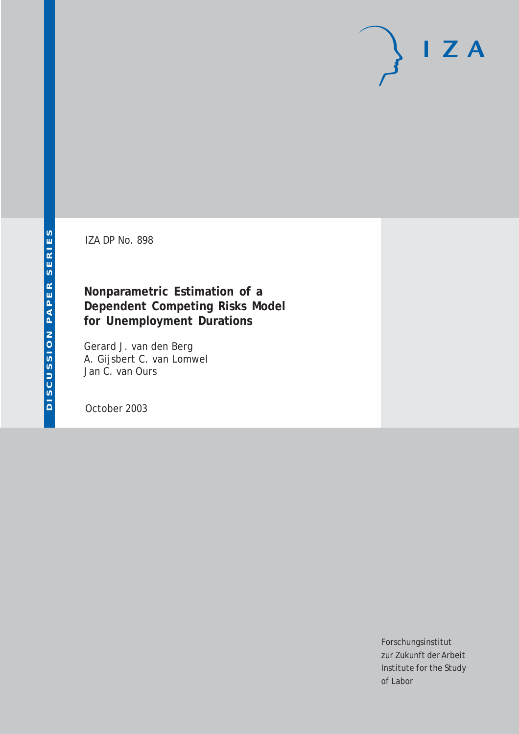# $I Z A$

IZA DP No. 898

## **Nonparametric Estimation of a Dependent Competing Risks Model for Unemployment Durations**

Gerard J. van den Berg A. Gijsbert C. van Lomwel Jan C. van Ours

October 2003

Forschungsinstitut zur Zukunft der Arbeit Institute for the Study of Labor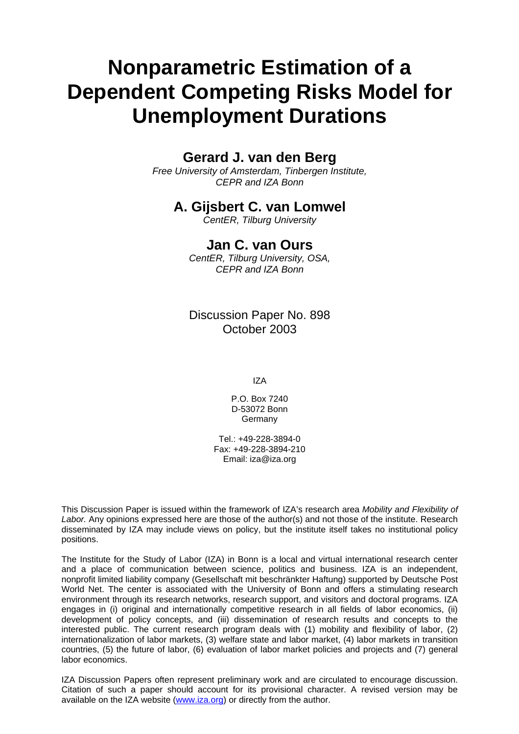# **Nonparametric Estimation of a Dependent Competing Risks Model for Unemployment Durations**

## **Gerard J. van den Berg**

*Free University of Amsterdam, Tinbergen Institute, CEPR and IZA Bonn* 

## **A. Gijsbert C. van Lomwel**

*CentER, Tilburg University* 

### **Jan C. van Ours**

*CentER, Tilburg University, OSA, CEPR and IZA Bonn*

Discussion Paper No. 898 October 2003

IZA

P.O. Box 7240 D-53072 Bonn **Germany** 

Tel.: +49-228-3894-0 Fax: +49-228-3894-210 Email: [iza@iza.org](mailto:iza@iza.org)

This Discussion Paper is issued within the framework of IZA's research area *Mobility and Flexibility of Labor.* Any opinions expressed here are those of the author(s) and not those of the institute. Research disseminated by IZA may include views on policy, but the institute itself takes no institutional policy positions.

The Institute for the Study of Labor (IZA) in Bonn is a local and virtual international research center and a place of communication between science, politics and business. IZA is an independent, nonprofit limited liability company (Gesellschaft mit beschränkter Haftung) supported by Deutsche Post World Net. The center is associated with the University of Bonn and offers a stimulating research environment through its research networks, research support, and visitors and doctoral programs. IZA engages in (i) original and internationally competitive research in all fields of labor economics, (ii) development of policy concepts, and (iii) dissemination of research results and concepts to the interested public. The current research program deals with (1) mobility and flexibility of labor, (2) internationalization of labor markets, (3) welfare state and labor market, (4) labor markets in transition countries, (5) the future of labor, (6) evaluation of labor market policies and projects and (7) general labor economics.

IZA Discussion Papers often represent preliminary work and are circulated to encourage discussion. Citation of such a paper should account for its provisional character. A revised version may be available on the IZA website ([www.iza.org](http://www.iza.org/)) or directly from the author.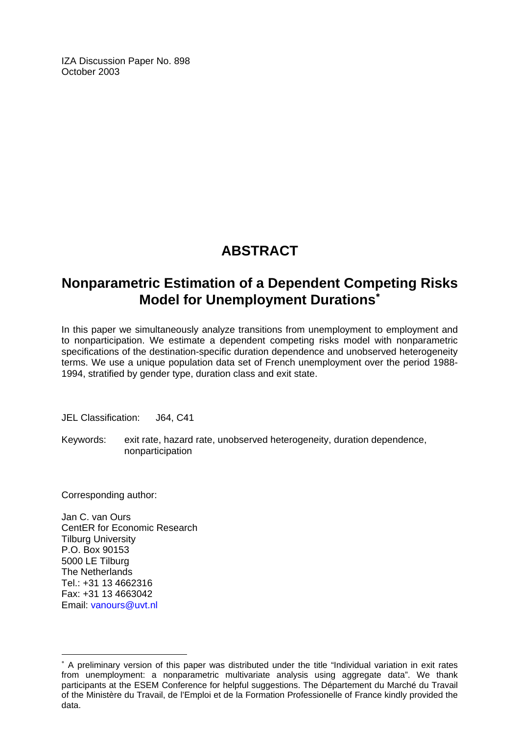IZA Discussion Paper No. 898 October 2003

## **ABSTRACT**

## **Nonparametric Estimation of a Dependent Competing Risks Model for Unemployment Durations**[∗](#page-2-0)

In this paper we simultaneously analyze transitions from unemployment to employment and to nonparticipation. We estimate a dependent competing risks model with nonparametric specifications of the destination-specific duration dependence and unobserved heterogeneity terms. We use a unique population data set of French unemployment over the period 1988- 1994, stratified by gender type, duration class and exit state.

JEL Classification: J64, C41

Keywords: exit rate, hazard rate, unobserved heterogeneity, duration dependence, nonparticipation

Corresponding author:

 $\overline{a}$ 

Jan C. van Ours CentER for Economic Research Tilburg University P.O. Box 90153 5000 LE Tilburg The Netherlands Tel.: +31 13 4662316 Fax: +31 13 4663042 Email: [vanours@uvt.nl](mailto:vanours@uvt.nl)

<span id="page-2-0"></span><sup>∗</sup> A preliminary version of this paper was distributed under the title "Individual variation in exit rates from unemployment: a nonparametric multivariate analysis using aggregate data". We thank participants at the ESEM Conference for helpful suggestions. The Département du Marché du Travail of the Ministère du Travail, de l'Emploi et de la Formation Professionelle of France kindly provided the data.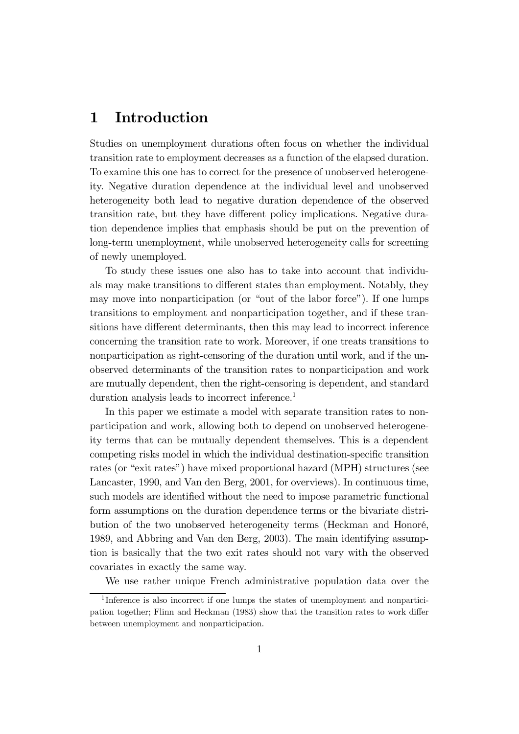## 1 Introduction

Studies on unemployment durations often focus on whether the individual transition rate to employment decreases as a function of the elapsed duration. To examine this one has to correct for the presence of unobserved heterogeneity. Negative duration dependence at the individual level and unobserved heterogeneity both lead to negative duration dependence of the observed transition rate, but they have different policy implications. Negative duration dependence implies that emphasis should be put on the prevention of long-term unemployment, while unobserved heterogeneity calls for screening of newly unemployed.

To study these issues one also has to take into account that individuals may make transitions to different states than employment. Notably, they may move into nonparticipation (or "out of the labor force"). If one lumps transitions to employment and nonparticipation together, and if these transitions have different determinants, then this may lead to incorrect inference concerning the transition rate to work. Moreover, if one treats transitions to nonparticipation as right-censoring of the duration until work, and if the unobserved determinants of the transition rates to nonparticipation and work are mutually dependent, then the right-censoring is dependent, and standard duration analysis leads to incorrect inference.<sup>1</sup>

In this paper we estimate a model with separate transition rates to nonparticipation and work, allowing both to depend on unobserved heterogeneity terms that can be mutually dependent themselves. This is a dependent competing risks model in which the individual destination-specific transition rates (or "exit rates") have mixed proportional hazard (MPH) structures (see Lancaster, 1990, and Van den Berg, 2001, for overviews). In continuous time, such models are identified without the need to impose parametric functional form assumptions on the duration dependence terms or the bivariate distribution of the two unobserved heterogeneity terms (Heckman and Honoré, 1989, and Abbring and Van den Berg, 2003). The main identifying assumption is basically that the two exit rates should not vary with the observed covariates in exactly the same way.

We use rather unique French administrative population data over the

<sup>&</sup>lt;sup>1</sup>Inference is also incorrect if one lumps the states of unemployment and nonparticipation together; Flinn and Heckman (1983) show that the transition rates to work differ between unemployment and nonparticipation.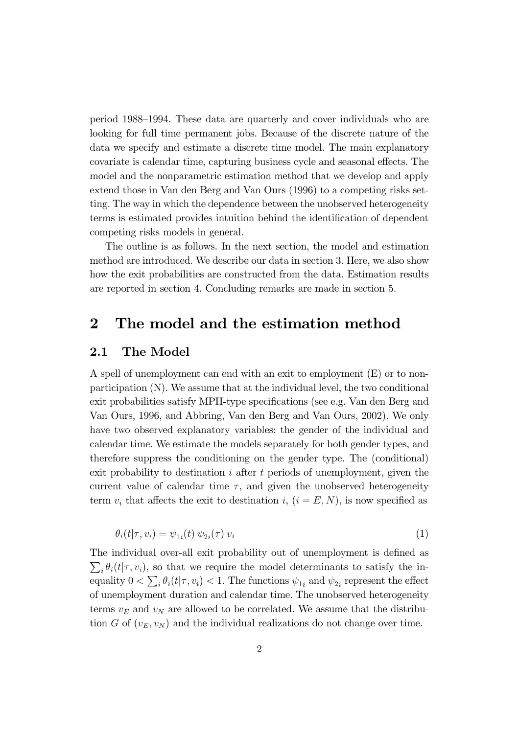period 1988–1994. These data are quarterly and cover individuals who are looking for full time permanent jobs. Because of the discrete nature of the data we specify and estimate a discrete time model. The main explanatory covariate is calendar time, capturing business cycle and seasonal effects. The model and the nonparametric estimation method that we develop and apply extend those in Van den Berg and Van Ours (1996) to a competing risks setting. The way in which the dependence between the unobserved heterogeneity terms is estimated provides intuition behind the identification of dependent competing risks models in general.

The outline is as follows. In the next section, the model and estimation method are introduced. We describe our data in section 3. Here, we also show how the exit probabilities are constructed from the data. Estimation results are reported in section 4. Concluding remarks are made in section 5.

#### $\overline{2}$ The model and the estimation method

#### The Model  $\bf 2.1$

A spell of unemployment can end with an exit to employment (E) or to nonparticipation (N). We assume that at the individual level, the two conditional exit probabilities satisfy MPH-type specifications (see e.g. Van den Berg and Van Ours, 1996, and Abbring, Van den Berg and Van Ours, 2002). We only have two observed explanatory variables: the gender of the individual and calendar time. We estimate the models separately for both gender types, and therefore suppress the conditioning on the gender type. The (conditional) exit probability to destination  $i$  after  $t$  periods of unemployment, given the current value of calendar time  $\tau$ , and given the unobserved heterogeneity term  $v_i$  that affects the exit to destination i,  $(i = E, N)$ , is now specified as

$$
\theta_i(t|\tau, v_i) = \psi_{1i}(t) \psi_{2i}(\tau) v_i \tag{1}
$$

The individual over-all exit probability out of unemployment is defined as  $\sum_i \theta_i(t|\tau, v_i)$ , so that we require the model determinants to satisfy the inequality  $0 < \sum_i \theta_i(t|\tau, v_i) < 1$ . The functions  $\psi_{1i}$  and  $\psi_{2i}$  represent the effect of unemployment duration and calendar time. The unobserved heterogeneity terms  $v_E$  and  $v_N$  are allowed to be correlated. We assume that the distribution G of  $(v_E, v_N)$  and the individual realizations do not change over time.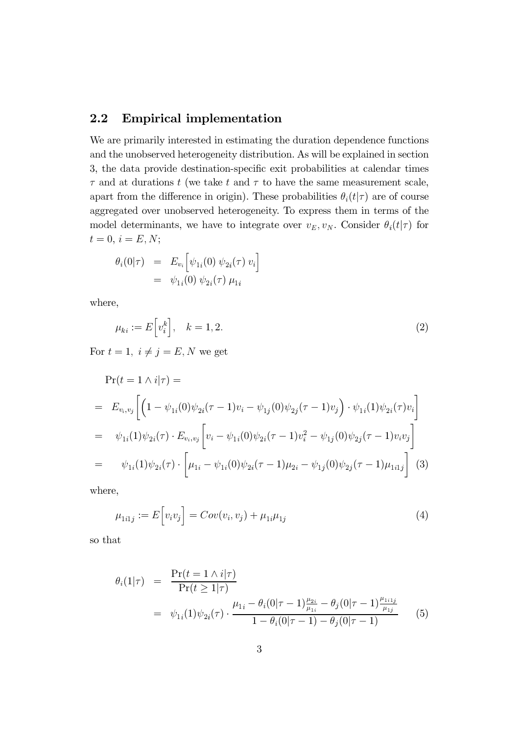#### **Empirical implementation**  $2.2$

We are primarily interested in estimating the duration dependence functions and the unobserved heterogeneity distribution. As will be explained in section 3, the data provide destination-specific exit probabilities at calendar times  $\tau$  and at durations t (we take t and  $\tau$  to have the same measurement scale, apart from the difference in origin). These probabilities  $\theta_i(t|\tau)$  are of course aggregated over unobserved heterogeneity. To express them in terms of the model determinants, we have to integrate over  $v_E, v_N$ . Consider  $\theta_i(t|\tau)$  for  $t = 0, i = E, N;$ 

$$
\begin{array}{rcl} \theta_i(0|\tau) & = & E_{v_i} \Big[ \psi_{1i}(0) \; \psi_{2i}(\tau) \; v_i \Big] \\ & = & \psi_{1i}(0) \; \psi_{2i}(\tau) \; \mu_{1i} \end{array}
$$

where,

$$
\mu_{ki} := E\left[v_i^k\right], \quad k = 1, 2. \tag{2}
$$

For  $t=1,\ i\neq j=E,N$  we get

$$
\begin{split}\n\Pr(t &= 1 \wedge i|\tau) = \\
&= E_{v_i, v_j} \bigg[ \Big( 1 - \psi_{1i}(0)\psi_{2i}(\tau - 1)v_i - \psi_{1j}(0)\psi_{2j}(\tau - 1)v_j \Big) \cdot \psi_{1i}(1)\psi_{2i}(\tau)v_i \bigg] \\
&= \psi_{1i}(1)\psi_{2i}(\tau) \cdot E_{v_i, v_j} \bigg[ v_i - \psi_{1i}(0)\psi_{2i}(\tau - 1)v_i^2 - \psi_{1j}(0)\psi_{2j}(\tau - 1)v_i v_j \bigg] \\
&= \psi_{1i}(1)\psi_{2i}(\tau) \cdot \Bigg[ \mu_{1i} - \psi_{1i}(0)\psi_{2i}(\tau - 1)\mu_{2i} - \psi_{1j}(0)\psi_{2j}(\tau - 1)\mu_{1i1j} \bigg] \end{split} \tag{3}
$$

where,

$$
\mu_{1i1j} := E[v_i v_j] = Cov(v_i, v_j) + \mu_{1i} \mu_{1j}
$$
\n(4)

so that

$$
\theta_i(1|\tau) = \frac{\Pr(t = 1 \land i|\tau)}{\Pr(t \ge 1|\tau)} \n= \psi_{1i}(1)\psi_{2i}(\tau) \cdot \frac{\mu_{1i} - \theta_i(0|\tau - 1)\frac{\mu_{2i}}{\mu_{1i}} - \theta_j(0|\tau - 1)\frac{\mu_{1i1j}}{\mu_{1j}}}{1 - \theta_i(0|\tau - 1) - \theta_j(0|\tau - 1)}
$$
\n(5)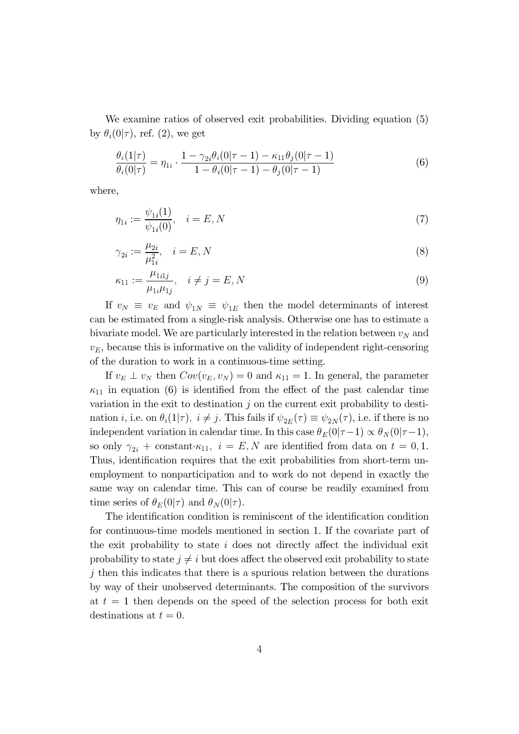We examine ratios of observed exit probabilities. Dividing equation (5) by  $\theta_i(0|\tau)$ , ref. (2), we get

$$
\frac{\theta_i(1|\tau)}{\theta_i(0|\tau)} = \eta_{1i} \cdot \frac{1 - \gamma_{2i}\theta_i(0|\tau - 1) - \kappa_{11}\theta_j(0|\tau - 1)}{1 - \theta_i(0|\tau - 1) - \theta_j(0|\tau - 1)}
$$
(6)

where,

$$
\eta_{1i} := \frac{\psi_{1i}(1)}{\psi_{1i}(0)}, \quad i = E, N \tag{7}
$$

$$
\gamma_{2i} := \frac{\mu_{2i}}{\mu_{1i}^2}, \quad i = E, N
$$
\n(8)

$$
\kappa_{11} := \frac{\mu_{1i1j}}{\mu_{1i}\mu_{1j}}, \quad i \neq j = E, N
$$
\n(9)

If  $v_N \equiv v_E$  and  $\psi_{1N} \equiv \psi_{1E}$  then the model determinants of interest can be estimated from a single-risk analysis. Otherwise one has to estimate a bivariate model. We are particularly interested in the relation between  $v_N$  and  $v_E$ , because this is informative on the validity of independent right-censoring of the duration to work in a continuous-time setting.

If  $v_E \perp v_N$  then  $Cov(v_E, v_N) = 0$  and  $\kappa_{11} = 1$ . In general, the parameter  $\kappa_{11}$  in equation (6) is identified from the effect of the past calendar time variation in the exit to destination  $j$  on the current exit probability to destination *i*, i.e. on  $\theta_i(1|\tau)$ ,  $i \neq j$ . This fails if  $\psi_{2E}(\tau) \equiv \psi_{2N}(\tau)$ , i.e. if there is no independent variation in calendar time. In this case  $\theta_E(0|\tau-1) \propto \theta_N(0|\tau-1)$ , so only  $\gamma_{2i}$  + constant  $\kappa_{11}$ ,  $i = E, N$  are identified from data on  $t = 0, 1$ . Thus, identification requires that the exit probabilities from short-term unemployment to nonparticipation and to work do not depend in exactly the same way on calendar time. This can of course be readily examined from time series of  $\theta_E(0|\tau)$  and  $\theta_N(0|\tau)$ .

The identification condition is reminiscent of the identification condition for continuous-time models mentioned in section 1. If the covariate part of the exit probability to state  $i$  does not directly affect the individual exit probability to state  $j \neq i$  but does affect the observed exit probability to state  $j$  then this indicates that there is a spurious relation between the durations by way of their unobserved determinants. The composition of the survivors at  $t = 1$  then depends on the speed of the selection process for both exit destinations at  $t=0$ .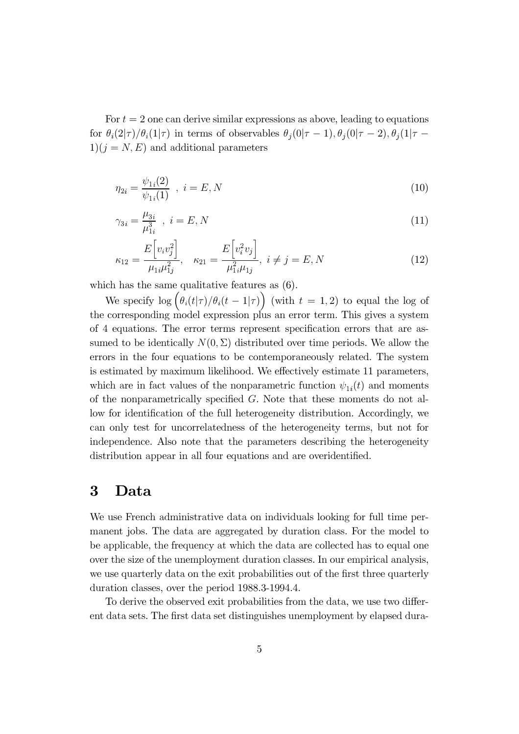For  $t = 2$  one can derive similar expressions as above, leading to equations for  $\theta_i(2|\tau)/\theta_i(1|\tau)$  in terms of observables  $\theta_j(0|\tau-1), \theta_j(0|\tau-2), \theta_j(1|\tau-1)$  $1(j = N, E)$  and additional parameters

$$
\eta_{2i} = \frac{\psi_{1i}(2)}{\psi_{1i}(1)} \quad , \quad i = E, N \tag{10}
$$

$$
\gamma_{3i} = \frac{\mu_{3i}}{\mu_{1i}^3} \quad , \quad i = E, N \tag{11}
$$

$$
\kappa_{12} = \frac{E[v_i v_j^2]}{\mu_{1i}\mu_{1j}^2}, \quad \kappa_{21} = \frac{E[v_i^2 v_j]}{\mu_{1i}^2 \mu_{1j}}, \quad i \neq j = E, N
$$
\n(12)

which has the same qualitative features as  $(6)$ .

We specify  $\log \left( \theta_i(t|\tau) / \theta_i(t-1|\tau) \right)$  (with  $t = 1, 2$ ) to equal the log of the corresponding model expression plus an error term. This gives a system of 4 equations. The error terms represent specification errors that are assumed to be identically  $N(0, \Sigma)$  distributed over time periods. We allow the errors in the four equations to be contemporaneously related. The system is estimated by maximum likelihood. We effectively estimate 11 parameters, which are in fact values of the nonparametric function  $\psi_{1i}(t)$  and moments of the nonparametrically specified  $G$ . Note that these moments do not allow for identification of the full heterogeneity distribution. Accordingly, we can only test for uncorrelatedness of the heterogeneity terms, but not for independence. Also note that the parameters describing the heterogeneity distribution appear in all four equations and are overidentified.

#### 3  $\rm Data$

We use French administrative data on individuals looking for full time permanent jobs. The data are aggregated by duration class. For the model to be applicable, the frequency at which the data are collected has to equal one over the size of the unemployment duration classes. In our empirical analysis, we use quarterly data on the exit probabilities out of the first three quarterly duration classes, over the period 1988.3-1994.4.

To derive the observed exit probabilities from the data, we use two different data sets. The first data set distinguishes unemployment by elapsed dura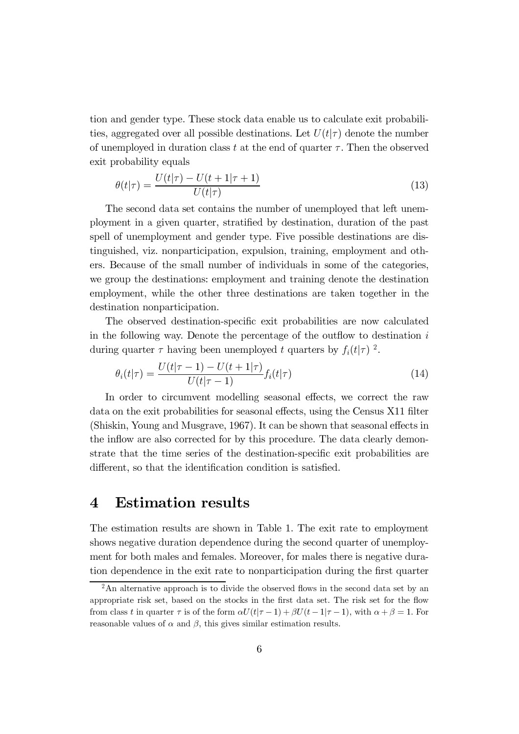tion and gender type. These stock data enable us to calculate exit probabilities, aggregated over all possible destinations. Let  $U(t|\tau)$  denote the number of unemployed in duration class t at the end of quarter  $\tau$ . Then the observed exit probability equals

$$
\theta(t|\tau) = \frac{U(t|\tau) - U(t+1|\tau+1)}{U(t|\tau)}\tag{13}
$$

The second data set contains the number of unemployed that left unemployment in a given quarter, stratified by destination, duration of the past spell of unemployment and gender type. Five possible destinations are distinguished, viz. nonparticipation, expulsion, training, employment and others. Because of the small number of individuals in some of the categories, we group the destinations: employment and training denote the destination employment, while the other three destinations are taken together in the destination nonparticipation.

The observed destination-specific exit probabilities are now calculated in the following way. Denote the percentage of the outflow to destination  $i$ during quarter  $\tau$  having been unemployed t quarters by  $f_i(t|\tau)$  ?

$$
\theta_i(t|\tau) = \frac{U(t|\tau - 1) - U(t + 1|\tau)}{U(t|\tau - 1)} f_i(t|\tau)
$$
\n(14)

In order to circumvent modelling seasonal effects, we correct the raw data on the exit probabilities for seasonal effects, using the Census X11 filter (Shiskin, Young and Musgrave, 1967). It can be shown that seasonal effects in the inflow are also corrected for by this procedure. The data clearly demonstrate that the time series of the destination-specific exit probabilities are different, so that the identification condition is satisfied.

## 4 Estimation results

The estimation results are shown in Table 1. The exit rate to employment shows negative duration dependence during the second quarter of unemployment for both males and females. Moreover, for males there is negative duration dependence in the exit rate to nonparticipation during the first quarter

<sup>&</sup>lt;sup>2</sup>An alternative approach is to divide the observed flows in the second data set by an appropriate risk set, based on the stocks in the first data set. The risk set for the flow from class t in quarter  $\tau$  is of the form  $\alpha U(t|\tau-1)+\beta U(t-1|\tau-1)$ , with  $\alpha+\beta=1$ . For reasonable values of  $\alpha$  and  $\beta$ , this gives similar estimation results.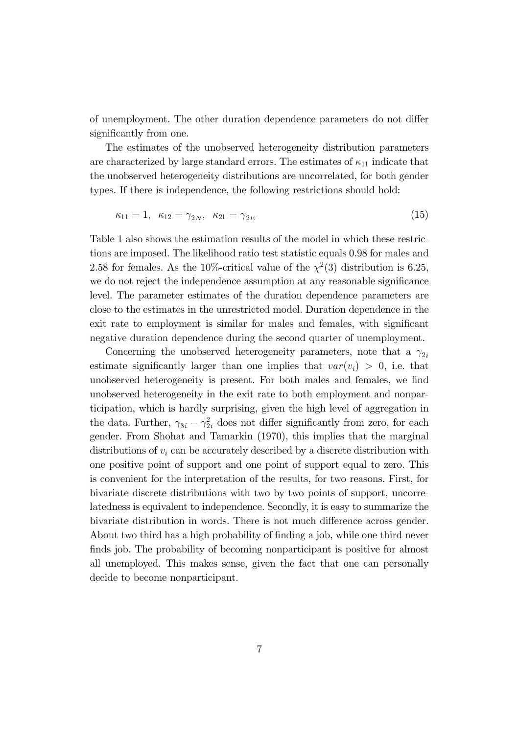of unemployment. The other duration dependence parameters do not differ significantly from one.

The estimates of the unobserved heterogeneity distribution parameters are characterized by large standard errors. The estimates of  $\kappa_{11}$  indicate that the unobserved heterogeneity distributions are uncorrelated, for both gender types. If there is independence, the following restrictions should hold:

$$
\kappa_{11} = 1, \ \kappa_{12} = \gamma_{2N}, \ \kappa_{21} = \gamma_{2E} \tag{15}
$$

Table 1 also shows the estimation results of the model in which these restrictions are imposed. The likelihood ratio test statistic equals 0.98 for males and 2.58 for females. As the 10%-critical value of the  $\chi^2(3)$  distribution is 6.25, we do not reject the independence assumption at any reasonable significance level. The parameter estimates of the duration dependence parameters are close to the estimates in the unrestricted model. Duration dependence in the exit rate to employment is similar for males and females, with significant negative duration dependence during the second quarter of unemployment.

Concerning the unobserved heterogeneity parameters, note that a  $\gamma_{2i}$ estimate significantly larger than one implies that  $var(v_i) > 0$ , i.e. that unobserved heterogeneity is present. For both males and females, we find unobserved heterogeneity in the exit rate to both employment and nonparticipation, which is hardly surprising, given the high level of aggregation in the data. Further,  $\gamma_{3i} - \gamma_{2i}^2$  does not differ significantly from zero, for each gender. From Shohat and Tamarkin (1970), this implies that the marginal distributions of  $v_i$  can be accurately described by a discrete distribution with one positive point of support and one point of support equal to zero. This is convenient for the interpretation of the results, for two reasons. First, for bivariate discrete distributions with two by two points of support, uncorrelatedness is equivalent to independence. Secondly, it is easy to summarize the bivariate distribution in words. There is not much difference across gender. About two third has a high probability of finding a job, while one third never finds job. The probability of becoming nonparticipant is positive for almost all unemployed. This makes sense, given the fact that one can personally decide to become nonparticipant.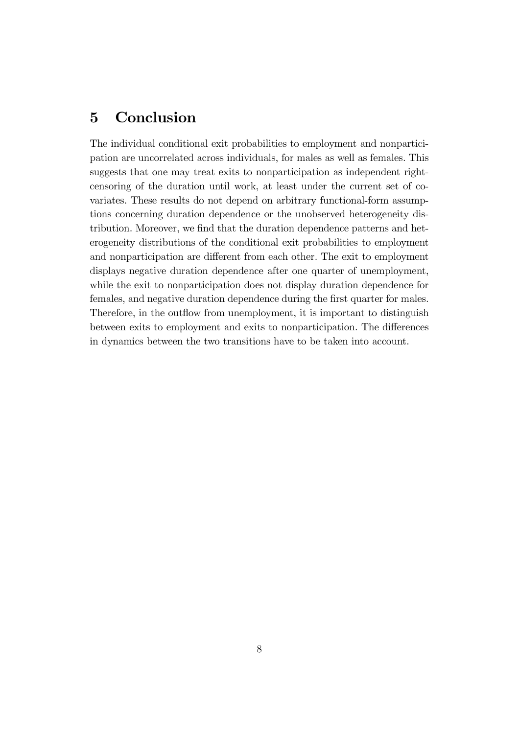## 5 Conclusion

The individual conditional exit probabilities to employment and nonparticipation are uncorrelated across individuals, for males as well as females. This suggests that one may treat exits to nonparticipation as independent rightcensoring of the duration until work, at least under the current set of covariates. These results do not depend on arbitrary functional-form assumptions concerning duration dependence or the unobserved heterogeneity distribution. Moreover, we find that the duration dependence patterns and heterogeneity distributions of the conditional exit probabilities to employment and nonparticipation are different from each other. The exit to employment displays negative duration dependence after one quarter of unemployment, while the exit to nonparticipation does not display duration dependence for females, and negative duration dependence during the first quarter for males. Therefore, in the outflow from unemployment, it is important to distinguish between exits to employment and exits to nonparticipation. The differences in dynamics between the two transitions have to be taken into account.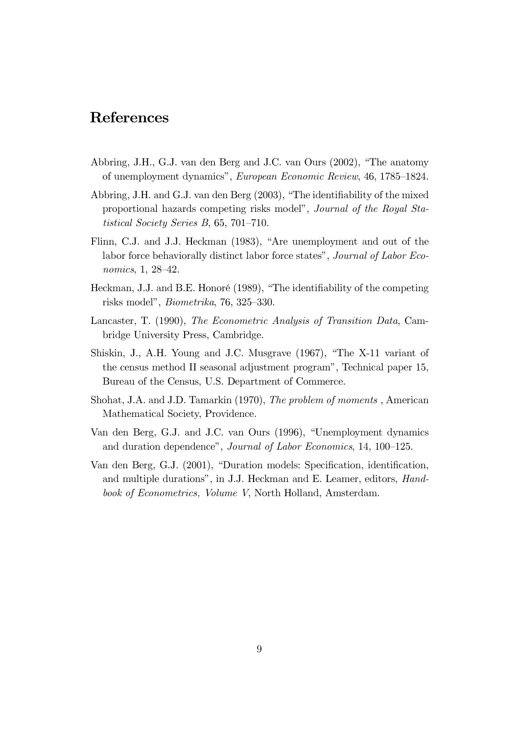## References

- Abbring, J.H., G.J. van den Berg and J.C. van Ours (2002), "The anatomy of unemployment dynamics", European Economic Review, 46, 1785–1824.
- Abbring, J.H. and G.J. van den Berg  $(2003)$ , "The identifiability of the mixed proportional hazards competing risks model", *Journal of the Royal Sta*tistical Society Series B,  $65, 701-710$ .
- Flinn, C.J. and J.J. Heckman (1983), "Are unemployment and out of the labor force behaviorally distinct labor force states", Journal of Labor Eco*nomics*,  $1, 28-42$ .
- Heckman, J.J. and B.E. Honoré (1989), "The identifiability of the competing risks model", *Biometrika*, 76, 325-330.
- Lancaster, T. (1990), The Econometric Analysis of Transition Data, Cambridge University Press, Cambridge.
- Shiskin, J., A.H. Young and J.C. Musgrave (1967), "The X-11 variant of the census method II seasonal adjustment program", Technical paper 15, Bureau of the Census, U.S. Department of Commerce.
- Shohat, J.A. and J.D. Tamarkin (1970), *The problem of moments*, American Mathematical Society, Providence.
- Van den Berg, G.J. and J.C. van Ours (1996), "Unemployment dynamics and duration dependence", Journal of Labor Economics, 14, 100-125.
- Van den Berg, G.J. (2001), "Duration models: Specification, identification, and multiple durations", in J.J. Heckman and E. Leamer, editors, *Hand*book of Econometrics, Volume V, North Holland, Amsterdam.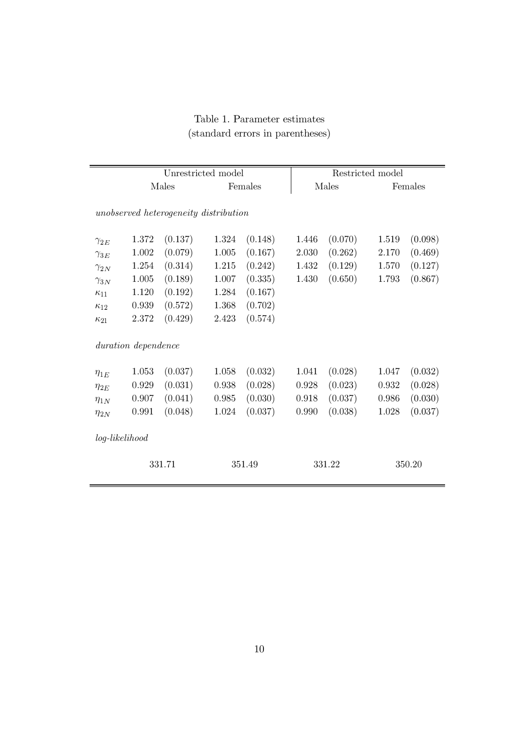## Table 1. Parameter estimates (standard errors in parentheses)

|               |                     | Unrestricted model                    |         |         |        | Restricted model |        |         |  |
|---------------|---------------------|---------------------------------------|---------|---------|--------|------------------|--------|---------|--|
|               | Males               |                                       | Females |         |        | Males            |        | Females |  |
|               |                     | unobserved heterogeneity distribution |         |         |        |                  |        |         |  |
| $\gamma_{2E}$ | 1.372               | (0.137)                               | 1.324   | (0.148) | 1.446  | (0.070)          | 1.519  | (0.098) |  |
| $\gamma_{3E}$ | 1.002               | (0.079)                               | 1.005   | (0.167) | 2.030  | (0.262)          | 2.170  | (0.469) |  |
| $\gamma_{2N}$ | 1.254               | (0.314)                               | 1.215   | (0.242) | 1.432  | (0.129)          | 1.570  | (0.127) |  |
| $\gamma_{3N}$ | 1.005               | (0.189)                               | 1.007   | (0.335) | 1.430  | (0.650)          | 1.793  | (0.867) |  |
| $\kappa_{11}$ | 1.120               | (0.192)                               | 1.284   | (0.167) |        |                  |        |         |  |
| $\kappa_{12}$ | 0.939               | (0.572)                               | 1.368   | (0.702) |        |                  |        |         |  |
| $\kappa_{21}$ | 2.372               | (0.429)                               | 2.423   | (0.574) |        |                  |        |         |  |
|               | duration dependence |                                       |         |         |        |                  |        |         |  |
| $\eta_{1E}$   | 1.053               | (0.037)                               | 1.058   | (0.032) | 1.041  | (0.028)          | 1.047  | (0.032) |  |
| $\eta_{2E}$   | 0.929               | (0.031)                               | 0.938   | (0.028) | 0.928  | (0.023)          | 0.932  | (0.028) |  |
| $\eta_{1N}$   | 0.907               | (0.041)                               | 0.985   | (0.030) | 0.918  | (0.037)          | 0.986  | (0.030) |  |
| $\eta_{2N}$   | 0.991               | (0.048)                               | 1.024   | (0.037) | 0.990  | (0.038)          | 1.028  | (0.037) |  |
|               | log-likelihood      |                                       |         |         |        |                  |        |         |  |
|               | 331.71              |                                       | 351.49  |         | 331.22 |                  | 350.20 |         |  |